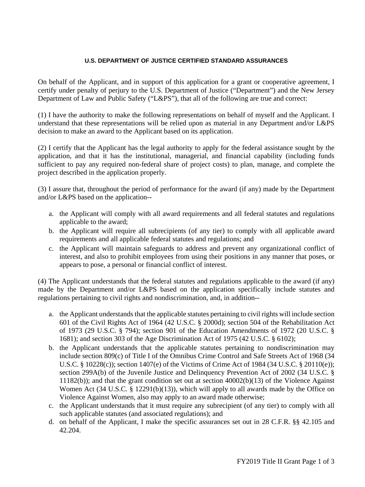## **U.S. DEPARTMENT OF JUSTICE CERTIFIED STANDARD ASSURANCES**

On behalf of the Applicant, and in support of this application for a grant or cooperative agreement, I certify under penalty of perjury to the U.S. Department of Justice ("Department") and the New Jersey Department of Law and Public Safety ("L&PS"), that all of the following are true and correct:

(1) I have the authority to make the following representations on behalf of myself and the Applicant. I understand that these representations will be relied upon as material in any Department and/or L&PS decision to make an award to the Applicant based on its application.

(2) I certify that the Applicant has the legal authority to apply for the federal assistance sought by the application, and that it has the institutional, managerial, and financial capability (including funds sufficient to pay any required non-federal share of project costs) to plan, manage, and complete the project described in the application properly.

(3) I assure that, throughout the period of performance for the award (if any) made by the Department and/or L&PS based on the application--

- a. the Applicant will comply with all award requirements and all federal statutes and regulations applicable to the award;
- b. the Applicant will require all subrecipients (of any tier) to comply with all applicable award requirements and all applicable federal statutes and regulations; and
- c. the Applicant will maintain safeguards to address and prevent any organizational conflict of interest, and also to prohibit employees from using their positions in any manner that poses, or appears to pose, a personal or financial conflict of interest.

(4) The Applicant understands that the federal statutes and regulations applicable to the award (if any) made by the Department and/or L&PS based on the application specifically include statutes and regulations pertaining to civil rights and nondiscrimination, and, in addition--

- a. the Applicant understands that the applicable statutes pertaining to civil rights will include section 601 of the Civil Rights Act of 1964 (42 U.S.C. § 2000d); section 504 of the Rehabilitation Act of 1973 (29 U.S.C. § 794); section 901 of the Education Amendments of 1972 (20 U.S.C. § 1681); and section 303 of the Age Discrimination Act of 1975 (42 U.S.C. § 6102);
- b. the Applicant understands that the applicable statutes pertaining to nondiscrimination may include section 809(c) of Title I of the Omnibus Crime Control and Safe Streets Act of 1968 (34 U.S.C. § 10228(c)); section 1407(e) of the Victims of Crime Act of 1984 (34 U.S.C. § 20110(e)); section 299A(b) of the Juvenile Justice and Delinquency Prevention Act of 2002 (34 U.S.C. § 11182(b)); and that the grant condition set out at section 40002(b)(13) of the Violence Against Women Act (34 U.S.C. § 12291(b)(13)), which will apply to all awards made by the Office on Violence Against Women, also may apply to an award made otherwise;
- c. the Applicant understands that it must require any subrecipient (of any tier) to comply with all such applicable statutes (and associated regulations); and
- d. on behalf of the Applicant, I make the specific assurances set out in 28 C.F.R. §§ 42.105 and 42.204.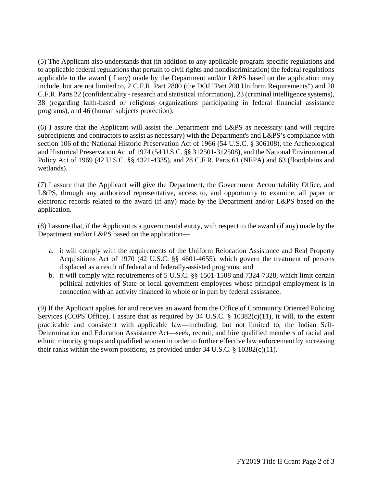(5) The Applicant also understands that (in addition to any applicable program-specific regulations and to applicable federal regulations that pertain to civil rights and nondiscrimination) the federal regulations applicable to the award (if any) made by the Department and/or L&PS based on the application may include, but are not limited to, 2 C.F.R. Part 2800 (the DOJ "Part 200 Uniform Requirements") and 28 C.F.R. Parts 22 (confidentiality - research and statistical information), 23 (criminal intelligence systems), 38 (regarding faith-based or religious organizations participating in federal financial assistance programs), and 46 (human subjects protection).

(6) I assure that the Applicant will assist the Department and L&PS as necessary (and will require subrecipients and contractors to assist as necessary) with the Department's and L&PS's compliance with section 106 of the National Historic Preservation Act of 1966 (54 U.S.C. § 306108), the Archeological and Historical Preservation Act of 1974 (54 U.S.C. §§ 312501-312508), and the National Environmental Policy Act of 1969 (42 U.S.C. §§ 4321-4335), and 28 C.F.R. Parts 61 (NEPA) and 63 (floodplains and wetlands).

(7) I assure that the Applicant will give the Department, the Government Accountability Office, and L&PS, through any authorized representative, access to, and opportunity to examine, all paper or electronic records related to the award (if any) made by the Department and/or L&PS based on the application.

(8) I assure that, if the Applicant is a governmental entity, with respect to the award (if any) made by the Department and/or L&PS based on the application—

- a. it will comply with the requirements of the Uniform Relocation Assistance and Real Property Acquisitions Act of 1970 (42 U.S.C. §§ 4601-4655), which govern the treatment of persons displaced as a result of federal and federally-assisted programs; and
- b. it will comply with requirements of 5 U.S.C. §§ 1501-1508 and 7324-7328, which limit certain political activities of State or local government employees whose principal employment is in connection with an activity financed in whole or in part by federal assistance.

(9) If the Applicant applies for and receives an award from the Office of Community Oriented Policing Services (COPS Office), I assure that as required by 34 U.S.C. § 10382(c)(11), it will, to the extent practicable and consistent with applicable law—including, but not limited to, the Indian Self-Determination and Education Assistance Act—seek, recruit, and hire qualified members of racial and ethnic minority groups and qualified women in order to further effective law enforcement by increasing their ranks within the sworn positions, as provided under 34 U.S.C. § 10382(c)(11).